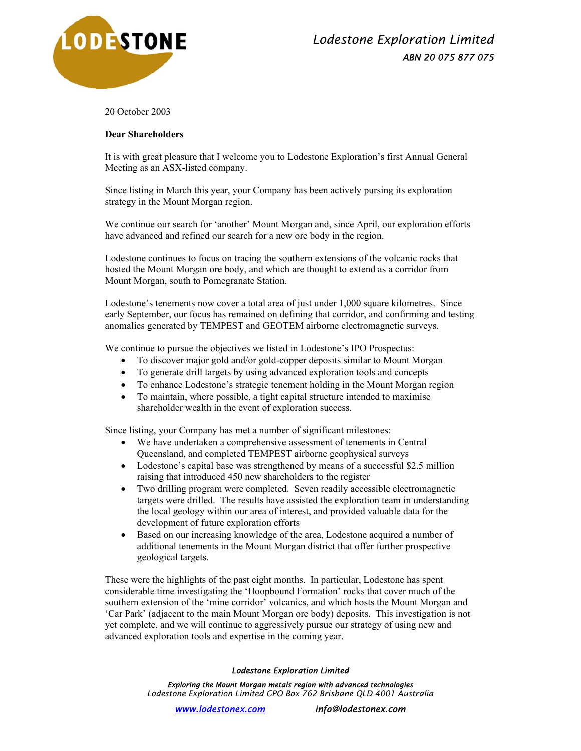

20 October 2003

## **Dear Shareholders**

It is with great pleasure that I welcome you to Lodestone Exploration's first Annual General Meeting as an ASX-listed company.

Since listing in March this year, your Company has been actively pursing its exploration strategy in the Mount Morgan region.

We continue our search for 'another' Mount Morgan and, since April, our exploration efforts have advanced and refined our search for a new ore body in the region.

Lodestone continues to focus on tracing the southern extensions of the volcanic rocks that hosted the Mount Morgan ore body, and which are thought to extend as a corridor from Mount Morgan, south to Pomegranate Station.

Lodestone's tenements now cover a total area of just under 1,000 square kilometres. Since early September, our focus has remained on defining that corridor, and confirming and testing anomalies generated by TEMPEST and GEOTEM airborne electromagnetic surveys.

We continue to pursue the objectives we listed in Lodestone's IPO Prospectus:

- To discover major gold and/or gold-copper deposits similar to Mount Morgan
- To generate drill targets by using advanced exploration tools and concepts
- To enhance Lodestone's strategic tenement holding in the Mount Morgan region
- To maintain, where possible, a tight capital structure intended to maximise shareholder wealth in the event of exploration success.

Since listing, your Company has met a number of significant milestones:

- We have undertaken a comprehensive assessment of tenements in Central Queensland, and completed TEMPEST airborne geophysical surveys
- Lodestone's capital base was strengthened by means of a successful \$2.5 million raising that introduced 450 new shareholders to the register
- Two drilling program were completed. Seven readily accessible electromagnetic targets were drilled. The results have assisted the exploration team in understanding the local geology within our area of interest, and provided valuable data for the development of future exploration efforts
- Based on our increasing knowledge of the area, Lodestone acquired a number of additional tenements in the Mount Morgan district that offer further prospective geological targets.

These were the highlights of the past eight months. In particular, Lodestone has spent considerable time investigating the 'Hoopbound Formation' rocks that cover much of the southern extension of the 'mine corridor' volcanics, and which hosts the Mount Morgan and 'Car Park' (adjacent to the main Mount Morgan ore body) deposits. This investigation is not yet complete, and we will continue to aggressively pursue our strategy of using new and advanced exploration tools and expertise in the coming year.

## *Lodestone Exploration Limited*

*Exploring the Mount Morgan metals region with advanced technologies Lodestone Exploration Limited GPO Box 762 Brisbane QLD 4001 Australia*